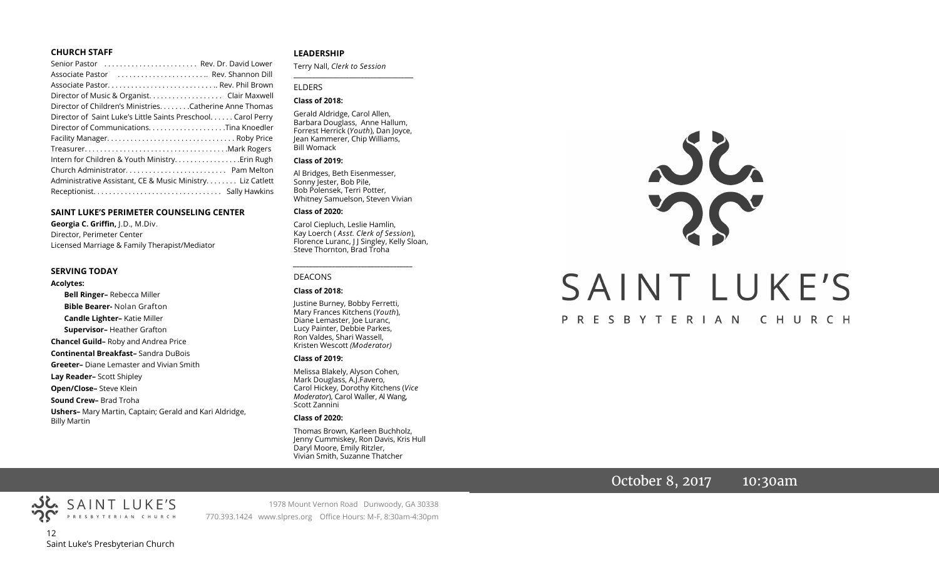#### **CHURCH STAFF**

| Senior Pastor  Rev. Dr. David Lower                           |
|---------------------------------------------------------------|
| Associate Pastor  Rev. Shannon Dill                           |
| Associate Pastor Rev. Phil Brown                              |
| Director of Music & Organist. Clair Maxwell                   |
| Director of Children's Ministries. Catherine Anne Thomas      |
| Director of Saint Luke's Little Saints Preschool. Carol Perry |
|                                                               |
|                                                               |
|                                                               |
|                                                               |
|                                                               |
| Administrative Assistant, CE & Music Ministry Liz Catlett     |
|                                                               |

#### **SAINT LUKE'S PERIMETER COUNSELING CENTER**

**Georgia C. Griffin,** J.D., M.Div. Director, Perimeter Center Licensed Marriage & Family Therapist/Mediator

#### **SERVING TODAY**

**Acolytes:**

**Bell Ringer–** Rebecca Miller **Bible Bearer-** Nolan Grafton **Candle Lighter–** Katie Miller **Supervisor–** Heather Grafton **Chancel Guild–** Roby and Andrea Price **Continental Breakfast–** Sandra DuBois **Greeter–** Diane Lemaster and Vivian Smith **Lay Reader–** Scott Shipley **Open/Close–** Steve Klein **Sound Crew–** Brad Troha **Ushers–** Mary Martin, Captain; Gerald and Kari Aldridge, Billy Martin

#### **LEADERSHIP**

Terry Nall, *Clerk to Session* 

#### ELDERS

#### **Class of 2018:**

Gerald Aldridge, Carol Allen, Barbara Douglass, Anne Hallum, Forrest Herrick (*Youth*), Dan Joyce, Jean Kammerer, Chip Williams, Bill Womack

**\_\_\_\_\_\_\_\_\_\_\_\_\_\_\_\_\_\_\_\_\_\_\_\_\_\_\_\_\_\_\_\_\_\_\_\_\_\_\_**

#### **Class of 2019:**

Al Bridges, Beth Eisenmesser, Sonny Jester, Bob Pile, Bob Polensek, Terri Potter, Whitney Samuelson, Steven Vivian

#### **Class of 2020:**

Carol Ciepluch, Leslie Hamlin, Kay Loerch ( *Asst. Clerk of Session*), Florence Luranc, J J Singley, Kelly Sloan, Steve Thornton, Brad Troha

*\_\_\_\_\_\_\_\_\_\_\_\_\_\_\_\_\_\_\_\_\_\_\_\_\_\_\_\_\_\_\_\_\_\_\_\_\_*

#### DEACONS

#### **Class of 2018:**

Justine Burney, Bobby Ferretti, Mary Frances Kitchens (*Youth*), Diane Lemaster, Joe Luranc, Lucy Painter, Debbie Parkes, Ron Valdes, Shari Wassell, Kristen Wescott *(Moderator)*

#### **Class of 2019:**

Melissa Blakely, Alyson Cohen, Mark Douglass, A.J.Favero, Carol Hickey, Dorothy Kitchens (*Vice Moderator*), Carol Waller, Al Wang, Scott Zannini

#### **Class of 2020:**

Thomas Brown, Karleen Buchholz, Jenny Cummiskey, Ron Davis, Kris Hull Daryl Moore, Emily Ritzler, Vivian Smith, Suzanne Thatcher

# $36$ SAINT LUKE'S P R E S B Y T E R I A N C H U R C H

## October 8, 2017 10:30am



1978 Mount Vernon Road Dunwoody, GA 30338 770.393.1424 www.slpres.org Office Hours: M-F, 8:30am-4:30pm

Saint Luke's Presbyterian Church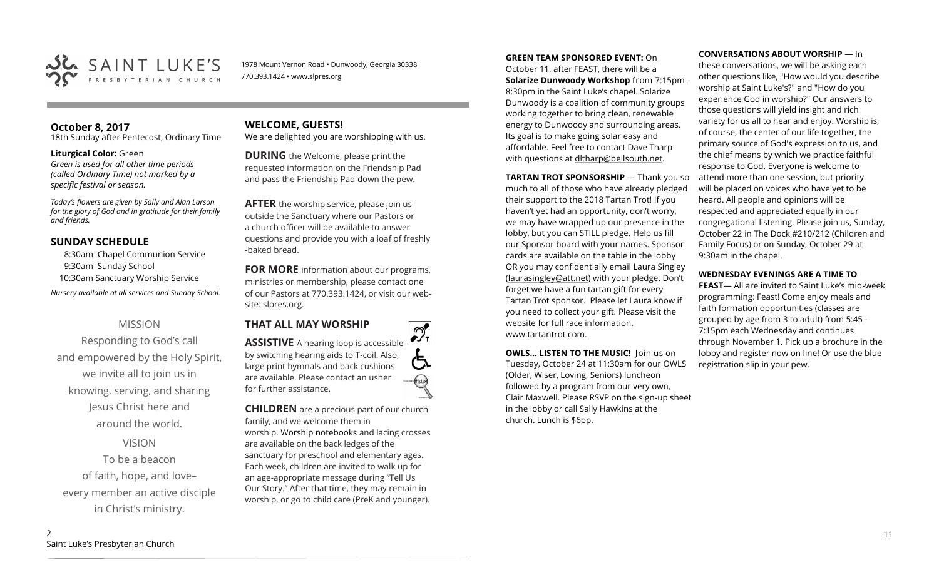

1978 Mount Vernon Road • Dunwoody, Georgia 30338 770.393.1424 • www.slpres.org

## **October 8, 2017**

18th Sunday after Pentecost, Ordinary Time

#### **Liturgical Color:** Green

*Green is used for all other time periods (called Ordinary Time) not marked by a specific festival or season.* 

*Today's flowers are given by Sally and Alan Larson for the glory of God and in gratitude for their family and friends.* 

#### **SUNDAY SCHEDULE**

8:30am Chapel Communion Service 9:30am Sunday School 10:30am Sanctuary Worship Service *Nursery available at all services and Sunday School.* 

#### MISSION

Responding to God's call and empowered by the Holy Spirit, we invite all to join us in knowing, serving, and sharing Jesus Christ here and around the world.

VISION

To be a beacon of faith, hope, and love– every member an active disciple in Christ's ministry.

**WELCOME, GUESTS!**  We are delighted you are worshipping with us.

**DURING** the Welcome, please print the requested information on the Friendship Pad and pass the Friendship Pad down the pew.

**AFTER** the worship service, please join us outside the Sanctuary where our Pastors or a church officer will be available to answer questions and provide you with a loaf of freshly -baked bread.

**FOR MORE** information about our programs, ministries or membership, please contact one of our Pastors at 770.393.1424, or visit our website: slpres.org.

**THAT ALL MAY WORSHIP**



**CHILDREN** are a precious part of our church family, and we welcome them in worship. Worship notebooks and lacing crosses are available on the back ledges of the sanctuary for preschool and elementary ages. Each week, children are invited to walk up for an age-appropriate message during "Tell Us Our Story." After that time, they may remain in worship, or go to child care (PreK and younger).

**GREEN TEAM SPONSORED EVENT:** On October 11, after FEAST, there will be a **Solarize Dunwoody Workshop** from 7:15pm - 8:30pm in the Saint Luke's chapel. Solarize Dunwoody is a coalition of community groups working together to bring clean, renewable energy to Dunwoody and surrounding areas. Its goal is to make going solar easy and affordable. Feel free to contact Dave Tharp with questions at dltharp@bellsouth.net.

**TARTAN TROT SPONSORSHIP** — Thank you so much to all of those who have already pledged their support to the 2018 Tartan Trot! If you haven't yet had an opportunity, don't worry, we may have wrapped up our presence in the lobby, but you can STILL pledge. Help us fill our Sponsor board with your names. Sponsor cards are available on the table in the lobby OR you may confidentially email Laura Singley ([laurasingley@att.net\)](mailto:laurasingley@att.net) with your pledge. Don't forget we have a fun tartan gift for every Tartan Trot sponsor. Please let Laura know if you need to collect your gift. Please visit the website for full race information. www.tartantrot.com.

**OWLS... LISTEN TO THE MUSIC!** Join us on Tuesday, October 24 at 11:30am for our OWLS (Older, Wiser, Loving, Seniors) luncheon followed by a program from our very own, Clair Maxwell. Please RSVP on the sign-up sheet in the lobby or call Sally Hawkins at the church. Lunch is \$6pp.

**CONVERSATIONS ABOUT WORSHIP** — In

these conversations, we will be asking each other questions like, "How would you describe worship at Saint Luke's?" and "How do you experience God in worship?" Our answers to those questions will yield insight and rich variety for us all to hear and enjoy. Worship is, of course, the center of our life together, the primary source of God's expression to us, and the chief means by which we practice faithful response to God. Everyone is welcome to attend more than one session, but priority will be placed on voices who have yet to be heard. All people and opinions will be respected and appreciated equally in our congregational listening. Please join us, Sunday, October 22 in The Dock #210/212 (Children and Family Focus) or on Sunday, October 29 at 9:30am in the chapel.

#### **WEDNESDAY EVENINGS ARE A TIME TO**

**FEAST**— All are invited to Saint Luke's mid-week programming: Feast! Come enjoy meals and faith formation opportunities (classes are grouped by age from 3 to adult) from 5:45 - 7:15pm each Wednesday and continues through November 1. Pick up a brochure in the lobby and register now on line! Or use the blue registration slip in your pew.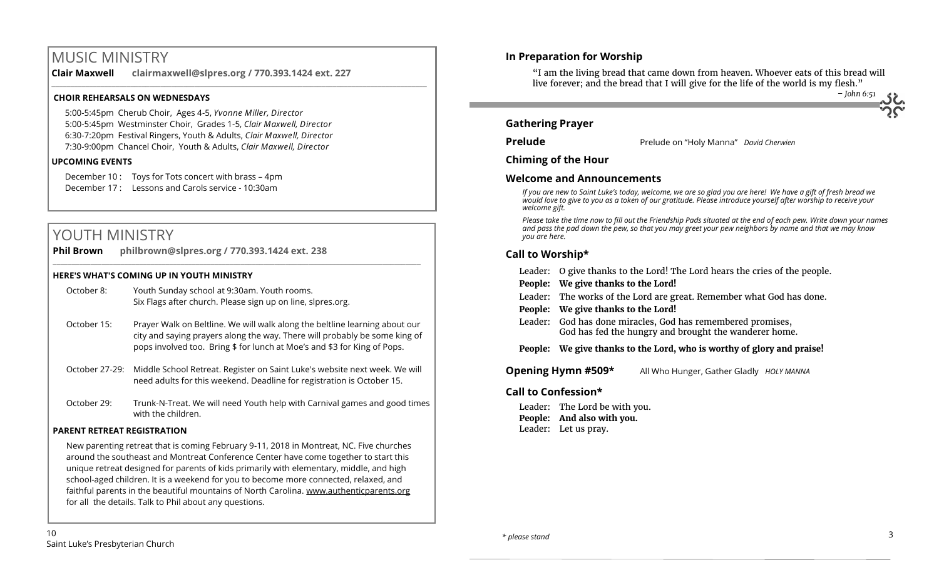## MUSIC MINISTRY

**Clair Maxwell clairmaxwell@slpres.org / 770.393.1424 ext. 227** 

\_\_\_\_\_\_\_\_\_\_\_\_\_\_\_\_\_\_\_\_\_\_\_\_\_\_\_\_\_\_\_\_\_\_\_\_\_\_\_\_\_\_\_\_\_\_\_\_\_\_\_\_\_\_\_\_\_\_\_\_\_\_\_\_\_\_\_\_\_\_\_\_\_\_\_\_\_\_\_\_\_\_\_\_\_\_\_\_\_\_\_\_\_\_\_\_\_\_\_\_

#### **CHOIR REHEARSALS ON WEDNESDAYS**

5:00-5:45pm Cherub Choir, Ages 4-5, *Yvonne Miller, Director*  5:00-5:45pm Westminster Choir, Grades 1-5, *Clair Maxwell, Director*  6:30-7:20pm Festival Ringers, Youth & Adults, *Clair Maxwell, Director*  7:30-9:00pm Chancel Choir, Youth & Adults, *Clair Maxwell, Director* 

#### **UPCOMING EVENTS**

December 10 : Toys for Tots concert with brass – 4pm December 17 : Lessons and Carols service - 10:30am

## YOUTH MINISTRY

| <b>Phil Brown</b> | philbrown@slpres.org / 770.393.1424 ext. 238 |
|-------------------|----------------------------------------------|
|                   |                                              |

#### **HERE'S WHAT'S COMING UP IN YOUTH MINISTRY**

| October 8: | Youth Sunday school at 9:30am. Youth rooms.                 |  |  |  |  |
|------------|-------------------------------------------------------------|--|--|--|--|
|            | Six Flags after church. Please sign up on line, slpres.org. |  |  |  |  |

- October 15: Prayer Walk on Beltline. We will walk along the beltline learning about our city and saying prayers along the way. There will probably be some king of pops involved too. Bring \$ for lunch at Moe's and \$3 for King of Pops.
- October 27-29: Middle School Retreat. Register on Saint Luke's website next week. We will need adults for this weekend. Deadline for registration is October 15.
- October 29: Trunk-N-Treat. We will need Youth help with Carnival games and good times with the children.

#### **PARENT RETREAT REGISTRATION**

New parenting retreat that is coming February 9-11, 2018 in Montreat, NC. Five churches around the southeast and Montreat Conference Center have come together to start this unique retreat designed for parents of kids primarily with elementary, middle, and high school-aged children. It is a weekend for you to become more connected, relaxed, and faithful parents in the beautiful mountains of North Carolina. [www.authenticparents.org](http://www.authenticparents.org)  for all the details. Talk to Phil about any questions.

#### **In Preparation for Worship**

"I am the living bread that came down from heaven. Whoever eats of this bread will live forever; and the bread that I will give for the life of the world is my flesh."

 *– John 6:51*

#### **Gathering Prayer**

**Prelude** Prelude on "Holy Manna" *David Cherwien*

**Chiming of the Hour**

#### **Welcome and Announcements**

*If you are new to Saint Luke's today, welcome, we are so glad you are here! We have a gift of fresh bread we would love to give to you as a token of our gratitude. Please introduce yourself after worship to receive your welcome gift.*

*Please take the time now to fill out the Friendship Pads situated at the end of each pew. Write down your names and pass the pad down the pew, so that you may greet your pew neighbors by name and that we may know you are here.*

#### **Call to Worship\***

|                                                                | Leader: O give thanks to the Lord! The Lord hears the cries of the people.                                           |  |  |  |
|----------------------------------------------------------------|----------------------------------------------------------------------------------------------------------------------|--|--|--|
|                                                                | People: We give thanks to the Lord!                                                                                  |  |  |  |
|                                                                | Leader: The works of the Lord are great. Remember what God has done.                                                 |  |  |  |
|                                                                | People: We give thanks to the Lord!                                                                                  |  |  |  |
|                                                                | Leader: God has done miracles, God has remembered promises,<br>God has fed the hungry and brought the wanderer home. |  |  |  |
|                                                                | People: We give thanks to the Lord, who is worthy of glory and praise!                                               |  |  |  |
| Opening Hymn #509*<br>All Who Hunger, Gather Gladly HOLY MANNA |                                                                                                                      |  |  |  |
| Call to Confession*                                            |                                                                                                                      |  |  |  |

Leader: The Lord be with you. **People: And also with you.** Leader: Let us pray.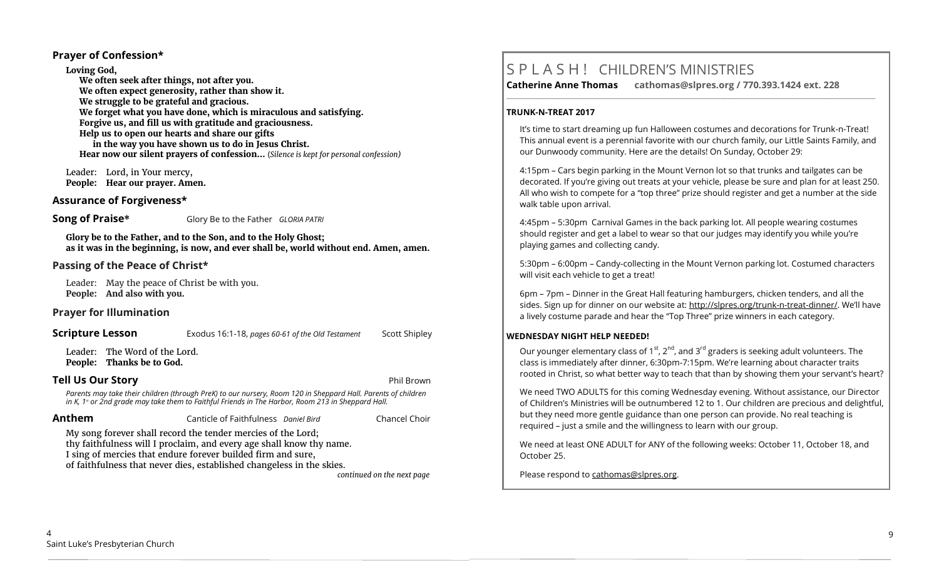#### **Prayer of Confession\***

**Loving God,**

**We often seek after things, not after you. We often expect generosity, rather than show it. We struggle to be grateful and gracious. We forget what you have done, which is miraculous and satisfying. Forgive us, and fill us with gratitude and graciousness. Help us to open our hearts and share our gifts in the way you have shown us to do in Jesus Christ. Hear now our silent prayers of confession…** (*Silence is kept for personal confession)* 

Leader: Lord, in Your mercy, **People: Hear our prayer. Amen.**

#### **Assurance of Forgiveness\***

**Song of Praise\*** Glory Be to the Father *GLORIA PATRI*

**Glory be to the Father, and to the Son, and to the Holy Ghost; as it was in the beginning, is now, and ever shall be, world without end. Amen, amen.**

#### **Passing of the Peace of Christ\***

Leader: May the peace of Christ be with you. **People: And also with you.**

#### **Prayer for Illumination**

#### **Scripture Lesson** Exodus 16:1-18, *pages 60-61 of the Old Testament* Scott Shipley

Leader: The Word of the Lord. **People: Thanks be to God.**

#### **Tell Us Our Story** Phil Brown

Parents may take their children (through PreK) to our nursery, Room 120 in Sheppard Hall. Parents of children<br>in K, 1ª or 2nd grade may take them to Faithful Friends in The Harbor, Room 213 in Sheppard Hall.

| Anthem                                                                                                                                                                                                                                                                        | Canticle of Faithfulness Daniel Bird |  | Chancel Choir |  |
|-------------------------------------------------------------------------------------------------------------------------------------------------------------------------------------------------------------------------------------------------------------------------------|--------------------------------------|--|---------------|--|
| My song forever shall record the tender mercies of the Lord;<br>thy faithfulness will I proclaim, and every age shall know thy name.<br>I sing of mercies that endure forever builded firm and sure,<br>of faithfulness that never dies, established changeless in the skies. |                                      |  |               |  |

*continued on the next page*

## S P L A S H ! CHILDREN'S MINISTRIES

**Catherine Anne Thomas cathomas@slpres.org / 770.393.1424 ext. 228** 

**\_\_\_\_\_\_\_\_\_\_\_\_\_\_\_\_\_\_\_\_\_\_\_\_\_\_\_\_\_\_\_\_\_\_\_\_\_\_\_\_\_\_\_\_\_\_\_\_\_\_\_\_\_\_\_\_\_\_\_\_\_\_\_\_\_\_\_\_\_\_\_\_\_\_\_\_\_\_\_\_\_\_\_\_\_\_\_\_\_\_\_\_\_\_\_\_\_\_\_\_\_\_\_\_\_\_\_** 

#### **TRUNK-N-TREAT 2017**

It's time to start dreaming up fun Halloween costumes and decorations for Trunk-n-Treat! This annual event is a perennial favorite with our church family, our Little Saints Family, and our Dunwoody community. Here are the details! On Sunday, October 29:

4:15pm – Cars begin parking in the Mount Vernon lot so that trunks and tailgates can be decorated. If you're giving out treats at your vehicle, please be sure and plan for at least 250. All who wish to compete for a "top three" prize should register and get a number at the side walk table upon arrival.

4:45pm – 5:30pm Carnival Games in the back parking lot. All people wearing costumes should register and get a label to wear so that our judges may identify you while you're playing games and collecting candy.

5:30pm – 6:00pm – Candy-collecting in the Mount Vernon parking lot. Costumed characters will visit each vehicle to get a treat!

6pm – 7pm – Dinner in the Great Hall featuring hamburgers, chicken tenders, and all the sides. Sign up for dinner on our website at: http://slpres.org/trunk-n-treat-dinner/. We'll have a lively costume parade and hear the "Top Three" prize winners in each category.

#### **WEDNESDAY NIGHT HELP NEEDED!**

Our younger elementary class of 1<sup>st</sup>, 2<sup>nd</sup>, and 3<sup>rd</sup> graders is seeking adult volunteers. The class is immediately after dinner, 6:30pm-7:15pm. We're learning about character traits rooted in Christ, so what better way to teach that than by showing them your servant's heart?

We need TWO ADULTS for this coming Wednesday evening. Without assistance, our Director of Children's Ministries will be outnumbered 12 to 1. Our children are precious and delightful, but they need more gentle guidance than one person can provide. No real teaching is required – just a smile and the willingness to learn with our group.

We need at least ONE ADULT for ANY of the following weeks: October 11, October 18, and October 25.

Please respond to [cathomas@slpres.org.](mailto:cathomas@slpres.org)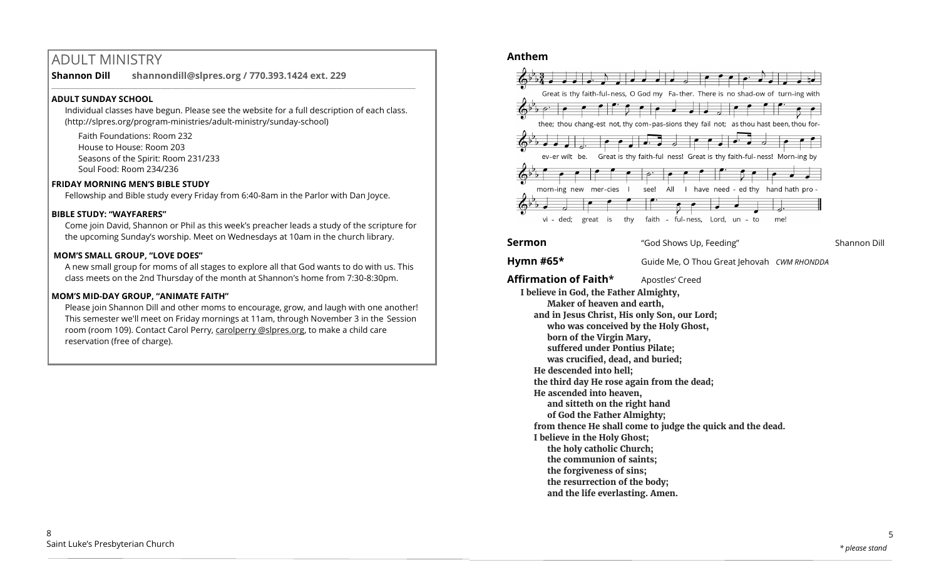## ADULT MINISTRY

**Shannon Dill shannondill@slpres.org / 770.393.1424 ext. 229** 

#### **ADULT SUNDAY SCHOOL**

Individual classes have begun. Please see the website for a full description of each class. (http://slpres.org/program-ministries/adult-ministry/sunday-school)

 $\_$  ,  $\_$  ,  $\_$  ,  $\_$  ,  $\_$  ,  $\_$  ,  $\_$  ,  $\_$  ,  $\_$  ,  $\_$  ,  $\_$  ,  $\_$  ,  $\_$  ,  $\_$  ,  $\_$  ,  $\_$  ,  $\_$  ,  $\_$  ,  $\_$  ,  $\_$ 

Faith Foundations: Room 232 House to House: Room 203 Seasons of the Spirit: Room 231/233 Soul Food: Room 234/236

#### **FRIDAY MORNING MEN'S BIBLE STUDY**

Fellowship and Bible study every Friday from 6:40-8am in the Parlor with Dan Joyce.

#### **BIBLE STUDY: "WAYFARERS"**

Come join David, Shannon or Phil as this week's preacher leads a study of the scripture for the upcoming Sunday's worship. Meet on Wednesdays at 10am in the church library.

#### **MOM'S SMALL GROUP, "LOVE DOES"**

A new small group for moms of all stages to explore all that God wants to do with us. This class meets on the 2nd Thursday of the month at Shannon's home from 7:30-8:30pm.

#### **MOM'S MID-DAY GROUP, "ANIMATE FAITH"**

Please join Shannon Dill and other moms to encourage, grow, and laugh with one another! This semester we'll meet on Friday mornings at 11am, through November 3 in the Session room (room 109). Contact Carol Perry, carolperry @slpres.org, to make a child care reservation (free of charge).

#### **Anthem**



#### **Sermon** "God Shows Up, Feeding" Shannon Dill

## **Hymn #65\*** Guide Me, O Thou Great Jehovah *CWM RHONDDA*

**Affirmation of Faith\*** Apostles' Creed **I believe in God, the Father Almighty, Maker of heaven and earth, and in Jesus Christ, His only Son, our Lord; who was conceived by the Holy Ghost, born of the Virgin Mary, suffered under Pontius Pilate; was crucified, dead, and buried; He descended into hell; the third day He rose again from the dead; He ascended into heaven, and sitteth on the right hand of God the Father Almighty; from thence He shall come to judge the quick and the dead. I believe in the Holy Ghost; the holy catholic Church; the communion of saints; the forgiveness of sins; the resurrection of the body; and the life everlasting. Amen.**